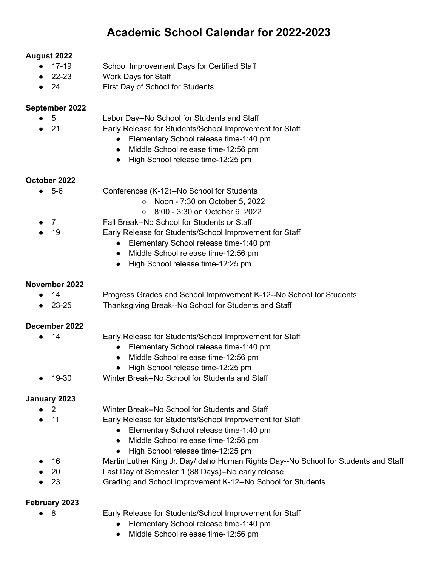# **Academic School Calendar for 2022-2023**

### **August 2022**

- 17-19 School Improvement Days for Certified Staff
- 22-23 Work Days for Staff
- 24 First Day of School for Students

#### **September 2022**

- 5 Labor Day--No School for Students and Staff
	- 21 Early Release for Students/School Improvement for Staff
		- Elementary School release time-1:40 pm
		- Middle School release time-12:56 pm
		- High School release time-12:25 pm

## **October 2022**

- 5-6 Conferences (K-12)--No School for Students
	- Noon 7:30 on October 5, 2022
	- 8:00 3:30 on October 6, 2022
	- 7 Fall Break--No School for Students or Staff
- 19 **Early Release for Students/School Improvement for Staff** 
	- Elementary School release time-1:40 pm
	- Middle School release time-12:56 pm
	- High School release time-12:25 pm

### **November 2022**

- 14 Progress Grades and School Improvement K-12--No School for Students
- 23-25 Thanksgiving Break--No School for Students and Staff

## **December 2022**

- 
- 14 Early Release for Students/School Improvement for Staff
	- Elementary School release time-1:40 pm
	- Middle School release time-12:56 pm
	- High School release time-12:25 pm
- 19-30 Winter Break--No School for Students and Staff

### **January 2023**

- 2 **2** Winter Break--No School for Students and Staff
- 11 **Early Release for Students/School Improvement for Staff** 
	- Elementary School release time-1:40 pm
	- Middle School release time-12:56 pm
	- High School release time-12:25 pm
- 16 Martin Luther King Jr. Day/Idaho Human Rights Day--No School for Students and Staff
- 20 Last Day of Semester 1 (88 Days)--No early release
- 23 Grading and School Improvement K-12--No School for Students

### **February 2023**

- 8 Early Release for Students/School Improvement for Staff
	- Elementary School release time-1:40 pm
	- Middle School release time-12:56 pm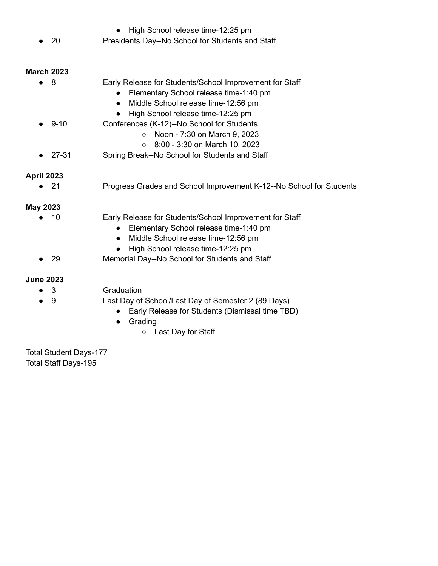- High School release time-12:25 pm ● 20 Presidents Day--No School for Students and Staff **March 2023** ● 8 Early Release for Students/School Improvement for Staff ● Elementary School release time-1:40 pm ● Middle School release time-12:56 pm ● High School release time-12:25 pm ● 9-10 Conferences (K-12)--No School for Students ○ Noon - 7:30 on March 9, 2023 ○ 8:00 - 3:30 on March 10, 2023 ● 27-31 Spring Break--No School for Students and Staff **April 2023** ● 21 Progress Grades and School Improvement K-12--No School for Students **May 2023** ● 10 Early Release for Students/School Improvement for Staff ● Elementary School release time-1:40 pm ● Middle School release time-12:56 pm ● High School release time-12:25 pm 29 Memorial Day--No School for Students and Staff **June 2023** ● 3 Graduation
	- 9 Last Day of School/Last Day of Semester 2 (89 Days)
		- Early Release for Students (Dismissal time TBD)
			- Grading
				- Last Day for Staff

Total Student Days-177 Total Staff Days-195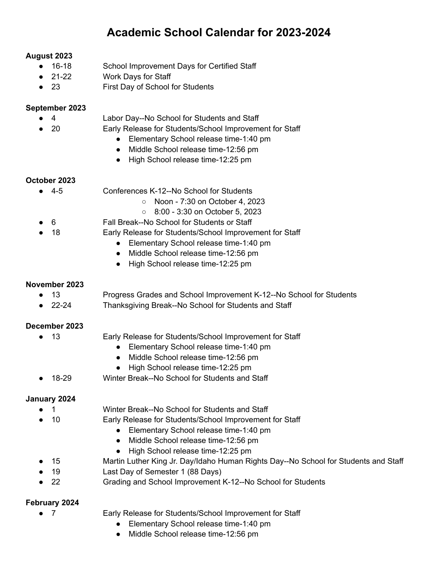# **Academic School Calendar for 2023-2024**

### **August 2023**

- 16-18 School Improvement Days for Certified Staff
- 21-22 Work Days for Staff
- 23 **First Day of School for Students**

#### **September 2023**

- 4 Labor Day--No School for Students and Staff
	- 20 Early Release for Students/School Improvement for Staff
		- Elementary School release time-1:40 pm
		- Middle School release time-12:56 pm
		- High School release time-12:25 pm

## **October 2023**

- 4-5 Conferences K-12--No School for Students
	- Noon 7:30 on October 4, 2023
	- 8:00 3:30 on October 5, 2023
	- 6 Fall Break--No School for Students or Staff
- 18 Early Release for Students/School Improvement for Staff
	- Elementary School release time-1:40 pm
	- Middle School release time-12:56 pm
	- High School release time-12:25 pm

### **November 2023**

- 13 Progress Grades and School Improvement K-12--No School for Students
- 22-24 Thanksgiving Break--No School for Students and Staff

## **December 2023**

- 
- 13 Early Release for Students/School Improvement for Staff
	- Elementary School release time-1:40 pm
	- Middle School release time-12:56 pm
	- High School release time-12:25 pm
- 18-29 Winter Break--No School for Students and Staff

### **January 2024**

- 1 **1** Winter Break--No School for Students and Staff
- 10 Early Release for Students/School Improvement for Staff
	- Elementary School release time-1:40 pm
	- Middle School release time-12:56 pm
	- High School release time-12:25 pm
- 15 Martin Luther King Jr. Day/Idaho Human Rights Day--No School for Students and Staff
- 19 Last Day of Semester 1 (88 Days)
- 22 Grading and School Improvement K-12--No School for Students

### **February 2024**

- 7 Early Release for Students/School Improvement for Staff
	- Elementary School release time-1:40 pm
	- Middle School release time-12:56 pm